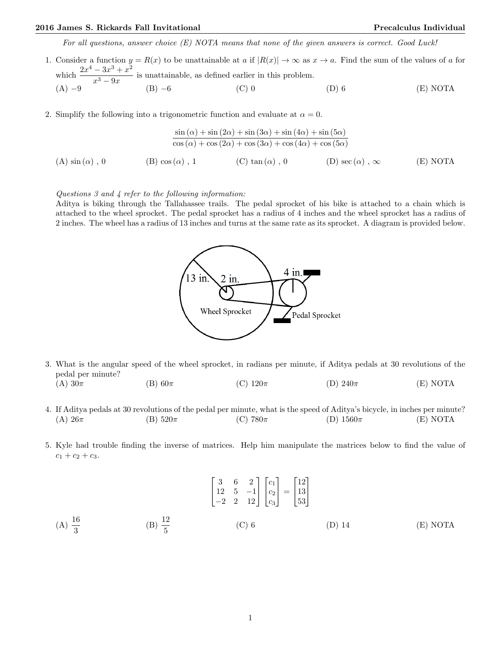For all questions, answer choice (E) NOTA means that none of the given answers is correct. Good Luck!

- 1. Consider a function  $y = R(x)$  to be unattainable at a if  $|R(x)| \to \infty$  as  $x \to a$ . Find the sum of the values of a for which  $\frac{2x^4 - 3x^3 + x^2}{x^3}$  $\frac{3x-3x}{x^3-9x}$  is unattainable, as defined earlier in this problem. (A) −9 (B) −6 (C) 0 (D) 6 (E) NOTA
- 2. Simplify the following into a trigonometric function and evaluate at  $\alpha = 0$ .

$$
\frac{\sin(\alpha) + \sin(2\alpha) + \sin(3\alpha) + \sin(4\alpha) + \sin(5\alpha)}{\cos(\alpha) + \cos(2\alpha) + \cos(3\alpha) + \cos(4\alpha) + \cos(5\alpha)}
$$
\n(A)  $\sin(\alpha)$ , 0

\n(B)  $\cos(\alpha)$ , 1

\n(C)  $\tan(\alpha)$ , 0

\n(D)  $\sec(\alpha)$ ,  $\infty$ 

\n(E) NOTA

## Questions 3 and 4 refer to the following information:

Aditya is biking through the Tallahassee trails. The pedal sprocket of his bike is attached to a chain which is attached to the wheel sprocket. The pedal sprocket has a radius of 4 inches and the wheel sprocket has a radius of 2 inches. The wheel has a radius of 13 inches and turns at the same rate as its sprocket. A diagram is provided below.



- 3. What is the angular speed of the wheel sprocket, in radians per minute, if Aditya pedals at 30 revolutions of the pedal per minute?
	- (A)  $30\pi$  (B)  $60\pi$  (C)  $120\pi$  (D)  $240\pi$  (E) NOTA
- 4. If Aditya pedals at 30 revolutions of the pedal per minute, what is the speed of Aditya's bicycle, in inches per minute? (A)  $26\pi$  (B)  $520\pi$  (C)  $780\pi$  (D)  $1560\pi$  (E) NOTA
- 5. Kyle had trouble finding the inverse of matrices. Help him manipulate the matrices below to find the value of  $c_1 + c_2 + c_3.$

$$
\begin{bmatrix} 3 & 6 & 2 \ 12 & 5 & -1 \ -2 & 2 & 12 \end{bmatrix} \begin{bmatrix} c_1 \ c_2 \ c_3 \end{bmatrix} = \begin{bmatrix} 12 \ 13 \ 53 \end{bmatrix}
$$
  
(A)  $\frac{16}{3}$  (B)  $\frac{12}{5}$  (C) 6 (D) 14 (E) NOTA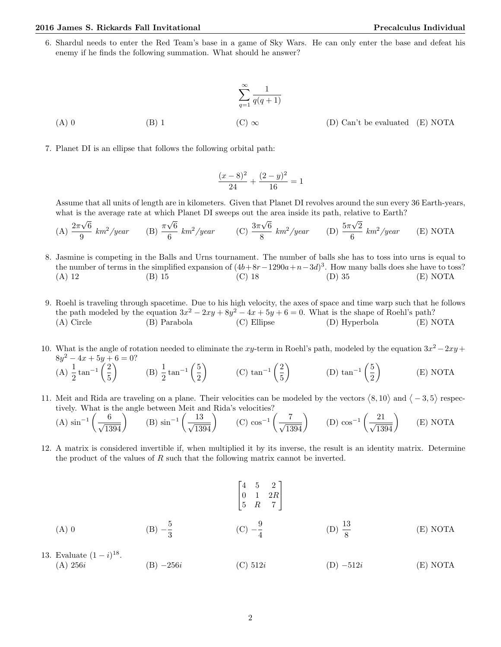6. Shardul needs to enter the Red Team's base in a game of Sky Wars. He can only enter the base and defeat his enemy if he finds the following summation. What should he answer?

(A) 0 
$$
\sum_{q=1}^{\infty} \frac{1}{q(q+1)}
$$
  
(B) 1 
$$
(C) \infty
$$
 (D) Can't be evaluated (E) NOTA

7. Planet DI is an ellipse that follows the following orbital path:

$$
\frac{(x-8)^2}{24} + \frac{(2-y)^2}{16} = 1
$$

Assume that all units of length are in kilometers. Given that Planet DI revolves around the sun every 36 Earth-years, what is the average rate at which Planet DI sweeps out the area inside its path, relative to Earth?

(A) 
$$
\frac{2\pi\sqrt{6}}{9}
$$
 km<sup>2</sup>/year (B)  $\frac{\pi\sqrt{6}}{6}$  km<sup>2</sup>/year (C)  $\frac{3\pi\sqrt{6}}{8}$  km<sup>2</sup>/year (D)  $\frac{5\pi\sqrt{2}}{6}$  km<sup>2</sup>/year (E) NOTA

- 8. Jasmine is competing in the Balls and Urns tournament. The number of balls she has to toss into urns is equal to the number of terms in the simplified expansion of  $(4b+8r-1290a+n-3d)^3$ . How many balls does she have to toss? (A) 12 (B) 15 (C) 18 (D) 35 (E) NOTA
- 9. Roehl is traveling through spacetime. Due to his high velocity, the axes of space and time warp such that he follows the path modeled by the equation  $3x^2 - 2xy + 8y^2 - 4x + 5y + 6 = 0$ . What is the shape of Roehl's path? (A) Circle (B) Parabola (C) Ellipse (D) Hyperbola (E) NOTA
- 10. What is the angle of rotation needed to eliminate the xy-term in Roehl's path, modeled by the equation  $3x^2 2xy +$  $8y^2 - 4x + 5y + 6 = 0?$

(A) 
$$
\frac{1}{2}
$$
 tan<sup>-1</sup> $\left(\frac{2}{5}\right)$  (B)  $\frac{1}{2}$  tan<sup>-1</sup> $\left(\frac{5}{2}\right)$  (C) tan<sup>-1</sup> $\left(\frac{2}{5}\right)$  (D) tan<sup>-1</sup> $\left(\frac{5}{2}\right)$  (E) NOTA

11. Meit and Rida are traveling on a plane. Their velocities can be modeled by the vectors  $\langle 8, 10 \rangle$  and  $\langle -3, 5 \rangle$  respectively. What is the angle between Meit and Rida's velocities?

(A) 
$$
\sin^{-1}\left(\frac{6}{\sqrt{1394}}\right)
$$
 (B)  $\sin^{-1}\left(\frac{13}{\sqrt{1394}}\right)$  (C)  $\cos^{-1}\left(\frac{7}{\sqrt{1394}}\right)$  (D)  $\cos^{-1}\left(\frac{21}{\sqrt{1394}}\right)$  (E) NOTA

12. A matrix is considered invertible if, when multiplied it by its inverse, the result is an identity matrix. Determine the product of the values of  $R$  such that the following matrix cannot be inverted.

(A) 0   
\n(B) 
$$
-\frac{5}{3}
$$
   
\n(C)  $-\frac{9}{4}$    
\n(D)  $\frac{13}{8}$    
\n(E) NOTA

13. Evaluate  $(1 - i)^{18}$ . (A)  $256i$  (B)  $-256i$  (C)  $512i$  (D)  $-512i$  (E) NOTA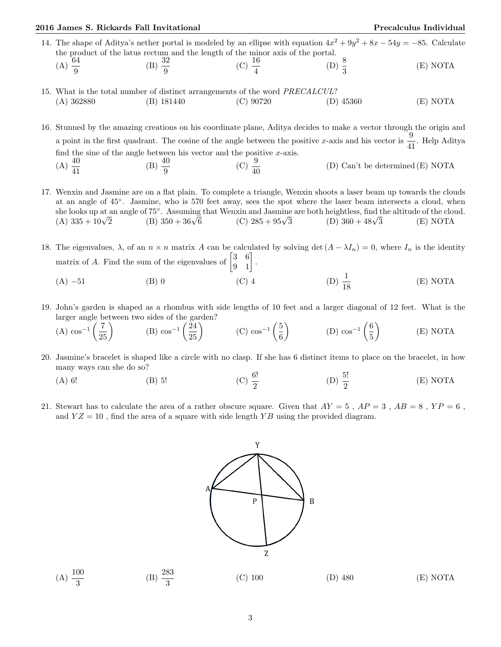$(A) \frac{100}{3}$ 

(B)  $\frac{283}{3}$ 

- 14. The shape of Aditya's nether portal is modeled by an ellipse with equation  $4x^2 + 9y^2 + 8x 54y = -85$ . Calculate the product of the latus rectum and the length of the minor axis of the portal.  $(A) \frac{64}{9}$ (B)  $\frac{32}{9}$ (C)  $\frac{16}{4}$ (D)  $\frac{8}{3}$ (E) NOTA
- 15. What is the total number of distinct arrangements of the word PRECALCUL? (A) 362880 (B) 181440 (C) 90720 (D) 45360 (E) NOTA

16. Stunned by the amazing creations on his coordinate plane, Aditya decides to make a vector through the origin and a point in the first quadrant. The cosine of the angle between the positive x-axis and his vector is  $\frac{9}{41}$ . Help Aditya find the sine of the angle between his vector and the positive  $x$ -axis.  $(A) \frac{40}{41}$ (B)  $\frac{40}{9}$ (C)  $\frac{9}{40}$ (D) Can't be determined (E) NOTA

17. Wenxin and Jasmine are on a flat plain. To complete a triangle, Wenxin shoots a laser beam up towards the clouds at an angle of 45◦ . Jasmine, who is 570 feet away, sees the spot where the laser beam intersects a cloud, when she looks up at an angle of 75°. Assuming that Wenxin and Jasmine are both heightless, find the altitude of the cloud.<br>
(A)  $335 + 10\sqrt{2}$  (B)  $350 + 36\sqrt{6}$  (C)  $285 + 95\sqrt{3}$  (D)  $360 + 48\sqrt{3}$  (E) NOTA (A)  $335 + 10\sqrt{2}$ (B)  $350 + 36\sqrt{6}$ (D)  $360 + 48\sqrt{3}$  (E) NOTA

18. The eigenvalues,  $\lambda$ , of an  $n \times n$  matrix A can be calculated by solving det  $(A - \lambda I_n) = 0$ , where  $I_n$  is the identity matrix of A. Find the sum of the eigenvalues of  $\begin{bmatrix} 3 & 6 \\ 9 & 1 \end{bmatrix}$ . (A) −51 (B) 0 (C) 4 (D)  $\frac{1}{16}$ (D)  $\frac{1}{18}$ (E) NOTA

19. John's garden is shaped as a rhombus with side lengths of 10 feet and a larger diagonal of 12 feet. What is the larger angle between two sides of the garden?

(A) 
$$
\cos^{-1}\left(\frac{7}{25}\right)
$$
 (B)  $\cos^{-1}\left(\frac{24}{25}\right)$  (C)  $\cos^{-1}\left(\frac{5}{6}\right)$  (D)  $\cos^{-1}\left(\frac{6}{5}\right)$  (E) NOTA

- 20. Jasmine's bracelet is shaped like a circle with no clasp. If she has 6 distinct items to place on the bracelet, in how many ways can she do so?
	- (A) 6! (B) 5! (C)  $\frac{6!}{2}$ (D)  $\frac{5!}{2}$ (E) NOTA
- 21. Stewart has to calculate the area of a rather obscure square. Given that  $AY = 5$ ,  $AP = 3$ ,  $AB = 8$ ,  $YP = 6$ , and  $YZ = 10$ , find the area of a square with side length  $YB$  using the provided diagram.